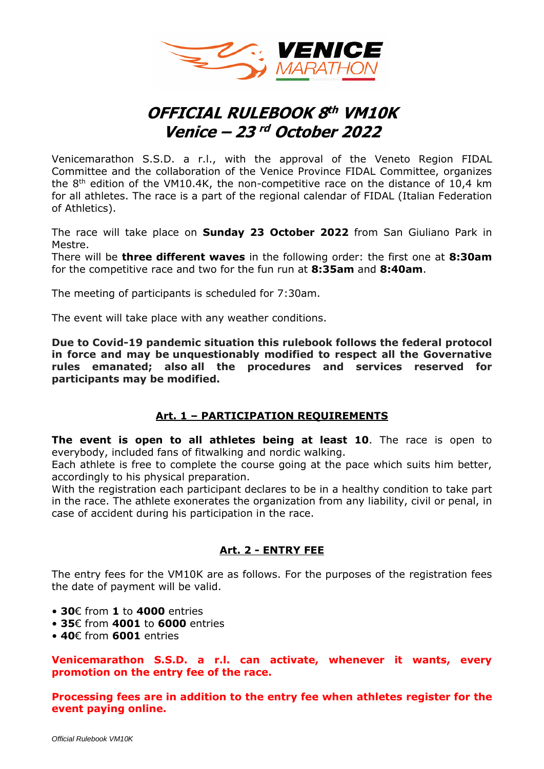

# **OFFICIAL RULEBOOK 8 th VM10K Venice – 23 rd October 2022**

Venicemarathon S.S.D. a r.l., with the approval of the Veneto Region FIDAL Committee and the collaboration of the Venice Province FIDAL Committee, organizes the  $8<sup>th</sup>$  edition of the VM10.4K, the non-competitive race on the distance of 10,4 km for all athletes. The race is a part of the regional calendar of FIDAL (Italian Federation of Athletics).

The race will take place on **Sunday 23 October 2022** from San Giuliano Park in Mestre.

There will be **three different waves** in the following order: the first one at **8:30am** for the competitive race and two for the fun run at **8:35am** and **8:40am**.

The meeting of participants is scheduled for 7:30am.

The event will take place with any weather conditions.

**Due to Covid-19 pandemic situation this rulebook follows the federal protocol in force and may be unquestionably modified to respect all the Governative rules emanated; also all the procedures and services reserved for participants may be modified.**

## **Art. 1 – PARTICIPATION REQUIREMENTS**

**The event is open to all athletes being at least 10**. The race is open to everybody, included fans of fitwalking and nordic walking.

Each athlete is free to complete the course going at the pace which suits him better, accordingly to his physical preparation.

With the registration each participant declares to be in a healthy condition to take part in the race. The athlete exonerates the organization from any liability, civil or penal, in case of accident during his participation in the race.

## **Art. 2 - ENTRY FEE**

The entry fees for the VM10K are as follows. For the purposes of the registration fees the date of payment will be valid.

- **30**€ from **1** to **4000** entries
- **35**€ from **4001** to **6000** entries
- **40**€ from **6001** entries

**Venicemarathon S.S.D. a r.l. can activate, whenever it wants, every promotion on the entry fee of the race.**

**Processing fees are in addition to the entry fee when athletes register for the event paying online.**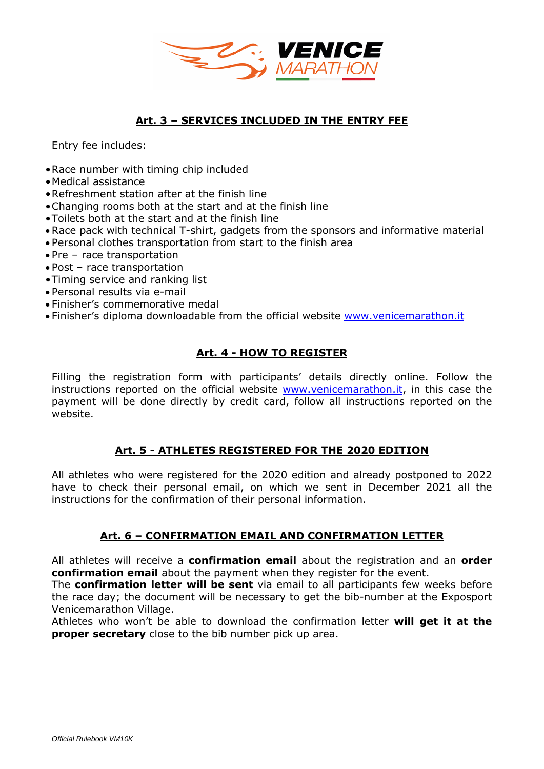

# **Art. 3 – SERVICES INCLUDED IN THE ENTRY FEE**

Entry fee includes:

- •Race number with timing chip included
- •Medical assistance
- •Refreshment station after at the finish line
- •Changing rooms both at the start and at the finish line
- •Toilets both at the start and at the finish line
- Race pack with technical T-shirt, gadgets from the sponsors and informative material
- Personal clothes transportation from start to the finish area
- Pre race transportation
- Post race transportation
- •Timing service and ranking list
- Personal results via e-mail
- Finisher's commemorative medal
- Finisher's diploma downloadable from the official website [www.venicemarathon.it](http://www.venicemarathon.it/)

# **Art. 4 - HOW TO REGISTER**

Filling the registration form with participants' details directly online. Follow the instructions reported on the official website [www.venicemarathon.it,](http://www.venicemarathon.it/) in this case the payment will be done directly by credit card, follow all instructions reported on the website.

## **Art. 5 - ATHLETES REGISTERED FOR THE 2020 EDITION**

All athletes who were registered for the 2020 edition and already postponed to 2022 have to check their personal email, on which we sent in December 2021 all the instructions for the confirmation of their personal information.

## **Art. 6 – CONFIRMATION EMAIL AND CONFIRMATION LETTER**

All athletes will receive a **confirmation email** about the registration and an **order confirmation email** about the payment when they register for the event.

The **confirmation letter will be sent** via email to all participants few weeks before the race day; the document will be necessary to get the bib-number at the Exposport Venicemarathon Village.

Athletes who won't be able to download the confirmation letter **will get it at the proper secretary** close to the bib number pick up area.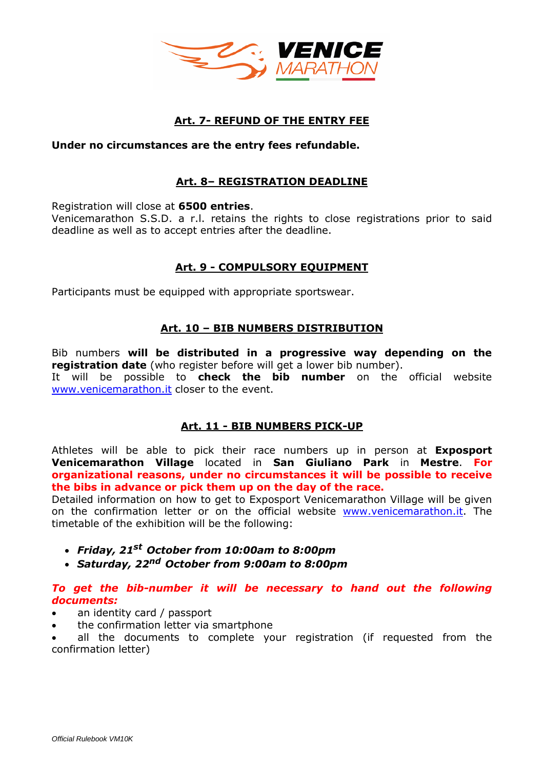

# **Art. 7- REFUND OF THE ENTRY FEE**

#### **Under no circumstances are the entry fees refundable.**

# **Art. 8– REGISTRATION DEADLINE**

Registration will close at **6500 entries**.

Venicemarathon S.S.D. a r.l. retains the rights to close registrations prior to said deadline as well as to accept entries after the deadline.

# **Art. 9 - COMPULSORY EQUIPMENT**

Participants must be equipped with appropriate sportswear.

# **Art. 10 – BIB NUMBERS DISTRIBUTION**

Bib numbers **will be distributed in a progressive way depending on the registration date** (who register before will get a lower bib number). It will be possible to **check the bib number** on the official website [www.venicemarathon.it](http://www.venicemarathon.it/) closer to the event.

## **Art. 11 - BIB NUMBERS PICK-UP**

Athletes will be able to pick their race numbers up in person at **Exposport Venicemarathon Village** located in **San Giuliano Park** in **Mestre**. **For organizational reasons, under no circumstances it will be possible to receive the bibs in advance or pick them up on the day of the race.** 

Detailed information on how to get to Exposport Venicemarathon Village will be given on the confirmation letter or on the official website [www.venicemarathon.it.](about:blank) The timetable of the exhibition will be the following:

- *Friday, 21 st October from 10:00am to 8:00pm*
- *Saturday, 22 nd October from 9:00am to 8:00pm*

#### *To get the bib-number it will be necessary to hand out the following documents:*

- an identity card / passport
- the confirmation letter via smartphone

all the documents to complete your registration (if requested from the confirmation letter)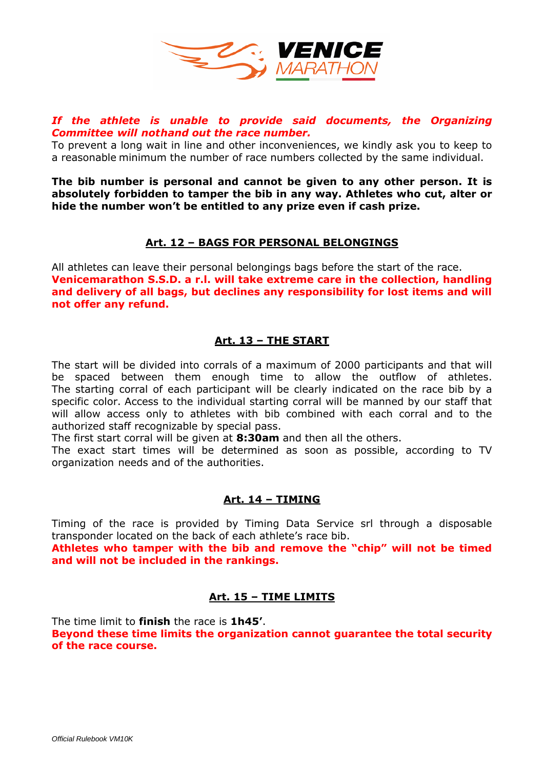

## *If the athlete is unable to provide said documents, the Organizing Committee will nothand out the race number.*

To prevent a long wait in line and other inconveniences, we kindly ask you to keep to a reasonable minimum the number of race numbers collected by the same individual.

**The bib number is personal and cannot be given to any other person. It is absolutely forbidden to tamper the bib in any way. Athletes who cut, alter or hide the number won't be entitled to any prize even if cash prize.**

## **Art. 12 – BAGS FOR PERSONAL BELONGINGS**

All athletes can leave their personal belongings bags before the start of the race. **Venicemarathon S.S.D. a r.l. will take extreme care in the collection, handling and delivery of all bags, but declines any responsibility for lost items and will not offer any refund.**

# **Art. 13 – THE START**

The start will be divided into corrals of a maximum of 2000 participants and that will be spaced between them enough time to allow the outflow of athletes. The starting corral of each participant will be clearly indicated on the race bib by a specific color. Access to the individual starting corral will be manned by our staff that will allow access only to athletes with bib combined with each corral and to the authorized staff recognizable by special pass.

The first start corral will be given at **8:30am** and then all the others.

The exact start times will be determined as soon as possible, according to TV organization needs and of the authorities.

## **Art. 14 – TIMING**

Timing of the race is provided by Timing Data Service srl through a disposable transponder located on the back of each athlete's race bib.

**Athletes who tamper with the bib and remove the "chip" will not be timed and will not be included in the rankings.**

# **Art. 15 – TIME LIMITS**

The time limit to **finish** the race is **1h45'**.

**Beyond these time limits the organization cannot guarantee the total security of the race course.**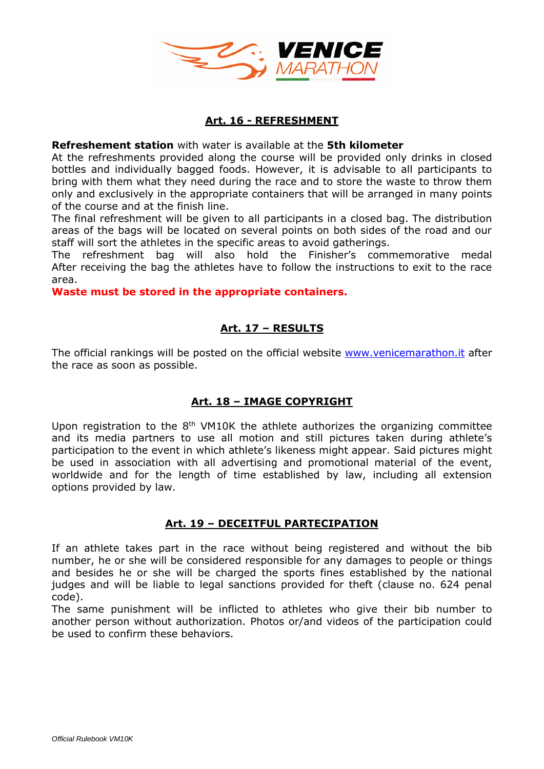

## **Art. 16 - REFRESHMENT**

#### **Refreshement station** with water is available at the **5th kilometer**

At the refreshments provided along the course will be provided only drinks in closed bottles and individually bagged foods. However, it is advisable to all participants to bring with them what they need during the race and to store the waste to throw them only and exclusively in the appropriate containers that will be arranged in many points of the course and at the finish line.

The final refreshment will be given to all participants in a closed bag. The distribution areas of the bags will be located on several points on both sides of the road and our staff will sort the athletes in the specific areas to avoid gatherings.

The refreshment bag will also hold the Finisher's commemorative medal After receiving the bag the athletes have to follow the instructions to exit to the race area.

**Waste must be stored in the appropriate containers.**

# **Art. 17 – RESULTS**

The official rankings will be posted on the official website [www.venicemarathon.it](http://www.venicemarathon.it/) after the race as soon as possible.

# **Art. 18 – IMAGE COPYRIGHT**

Upon registration to the  $8<sup>th</sup>$  VM10K the athlete authorizes the organizing committee and its media partners to use all motion and still pictures taken during athlete's participation to the event in which athlete's likeness might appear. Said pictures might be used in association with all advertising and promotional material of the event, worldwide and for the length of time established by law, including all extension options provided by law.

# **Art. 19 – DECEITFUL PARTECIPATION**

If an athlete takes part in the race without being registered and without the bib number, he or she will be considered responsible for any damages to people or things and besides he or she will be charged the sports fines established by the national judges and will be liable to legal sanctions provided for theft (clause no. 624 penal code).

The same punishment will be inflicted to athletes who give their bib number to another person without authorization. Photos or/and videos of the participation could be used to confirm these behaviors.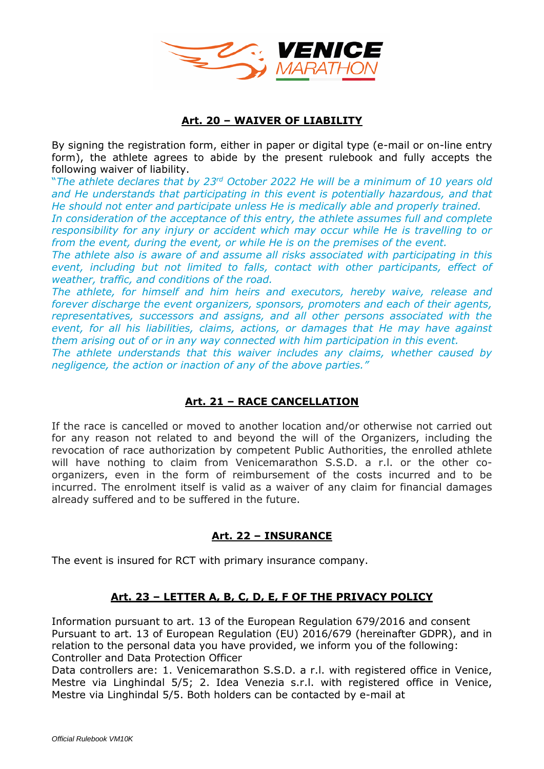

# **Art. 20 – WAIVER OF LIABILITY**

By signing the registration form, either in paper or digital type (e-mail or on-line entry form), the athlete agrees to abide by the present rulebook and fully accepts the following waiver of liability.

"The athlete declares that by 23<sup>rd</sup> October 2022 He will be a minimum of 10 years old *and He understands that participating in this event is potentially hazardous, and that He should not enter and participate unless He is medically able and properly trained.*

*In consideration of the acceptance of this entry, the athlete assumes full and complete responsibility for any injury or accident which may occur while He is travelling to or from the event, during the event, or while He is on the premises of the event.*

*The athlete also is aware of and assume all risks associated with participating in this event, including but not limited to falls, contact with other participants, effect of weather, traffic, and conditions of the road.*

*The athlete, for himself and him heirs and executors, hereby waive, release and forever discharge the event organizers, sponsors, promoters and each of their agents, representatives, successors and assigns, and all other persons associated with the event, for all his liabilities, claims, actions, or damages that He may have against them arising out of or in any way connected with him participation in this event.*

*The athlete understands that this waiver includes any claims, whether caused by negligence, the action or inaction of any of the above parties."*

# **Art. 21 – RACE CANCELLATION**

If the race is cancelled or moved to another location and/or otherwise not carried out for any reason not related to and beyond the will of the Organizers, including the revocation of race authorization by competent Public Authorities, the enrolled athlete will have nothing to claim from Venicemarathon S.S.D. a r.l. or the other coorganizers, even in the form of reimbursement of the costs incurred and to be incurred. The enrolment itself is valid as a waiver of any claim for financial damages already suffered and to be suffered in the future.

# **Art. 22 – INSURANCE**

The event is insured for RCT with primary insurance company.

# **Art. 23 – LETTER A, B, C, D, E, F OF THE PRIVACY POLICY**

Information pursuant to art. 13 of the European Regulation 679/2016 and consent Pursuant to art. 13 of European Regulation (EU) 2016/679 (hereinafter GDPR), and in relation to the personal data you have provided, we inform you of the following: Controller and Data Protection Officer

Data controllers are: 1. Venicemarathon S.S.D. a r.l. with registered office in Venice, Mestre via Linghindal 5/5; 2. Idea Venezia s.r.l. with registered office in Venice, Mestre via Linghindal 5/5. Both holders can be contacted by e-mail at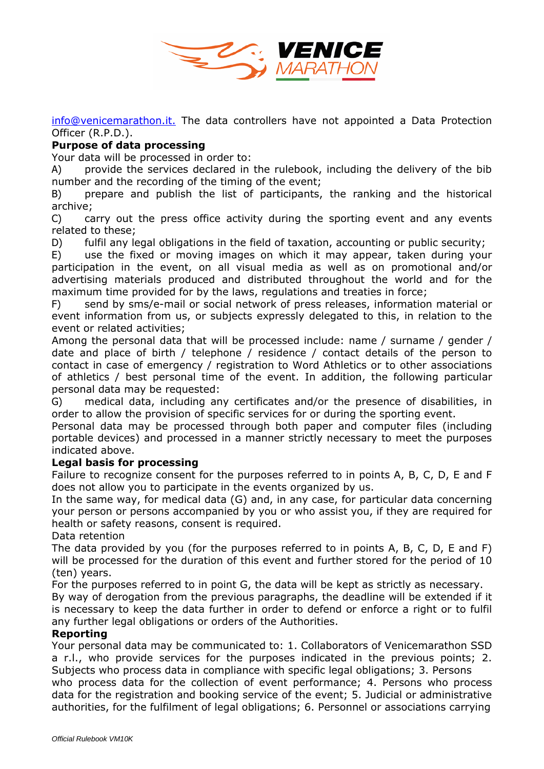

[info@venicemarathon.it.](mailto:info@venicemarathon.it.) The data controllers have not appointed a Data Protection Officer (R.P.D.).

# **Purpose of data processing**

Your data will be processed in order to:

A) provide the services declared in the rulebook, including the delivery of the bib number and the recording of the timing of the event;

B) prepare and publish the list of participants, the ranking and the historical archive;

C) carry out the press office activity during the sporting event and any events related to these;

D) fulfil any legal obligations in the field of taxation, accounting or public security;

E) use the fixed or moving images on which it may appear, taken during your participation in the event, on all visual media as well as on promotional and/or advertising materials produced and distributed throughout the world and for the maximum time provided for by the laws, regulations and treaties in force;

F) send by sms/e-mail or social network of press releases, information material or event information from us, or subjects expressly delegated to this, in relation to the event or related activities;

Among the personal data that will be processed include: name / surname / gender / date and place of birth / telephone / residence / contact details of the person to contact in case of emergency / registration to Word Athletics or to other associations of athletics / best personal time of the event. In addition, the following particular personal data may be requested:

G) medical data, including any certificates and/or the presence of disabilities, in order to allow the provision of specific services for or during the sporting event.

Personal data may be processed through both paper and computer files (including portable devices) and processed in a manner strictly necessary to meet the purposes indicated above.

## **Legal basis for processing**

Failure to recognize consent for the purposes referred to in points A, B, C, D, E and F does not allow you to participate in the events organized by us.

In the same way, for medical data (G) and, in any case, for particular data concerning your person or persons accompanied by you or who assist you, if they are required for health or safety reasons, consent is required.

Data retention

The data provided by you (for the purposes referred to in points A, B, C, D, E and F) will be processed for the duration of this event and further stored for the period of 10 (ten) years.

For the purposes referred to in point G, the data will be kept as strictly as necessary.

By way of derogation from the previous paragraphs, the deadline will be extended if it is necessary to keep the data further in order to defend or enforce a right or to fulfil any further legal obligations or orders of the Authorities.

#### **Reporting**

Your personal data may be communicated to: 1. Collaborators of Venicemarathon SSD a r.l., who provide services for the purposes indicated in the previous points; 2. Subjects who process data in compliance with specific legal obligations; 3. Persons

who process data for the collection of event performance; 4. Persons who process data for the registration and booking service of the event; 5. Judicial or administrative authorities, for the fulfilment of legal obligations; 6. Personnel or associations carrying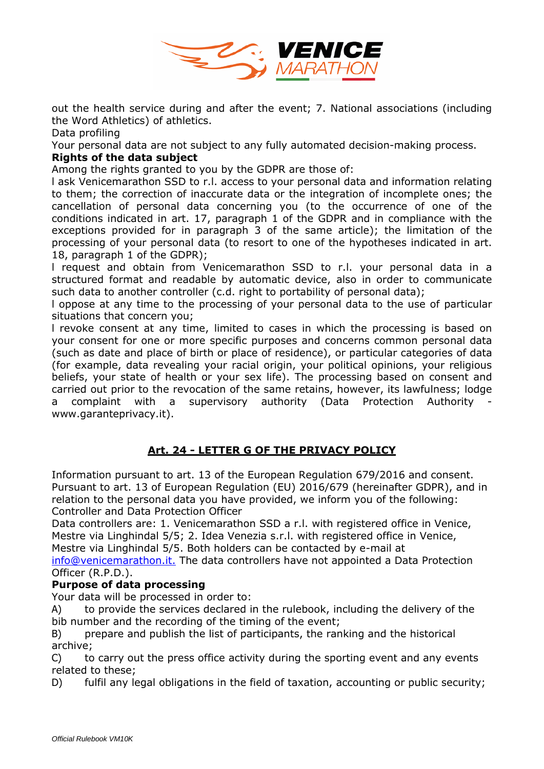

out the health service during and after the event; 7. National associations (including the Word Athletics) of athletics.

Data profiling

Your personal data are not subject to any fully automated decision-making process.

# **Rights of the data subject**

Among the rights granted to you by the GDPR are those of:

l ask Venicemarathon SSD to r.l. access to your personal data and information relating to them; the correction of inaccurate data or the integration of incomplete ones; the cancellation of personal data concerning you (to the occurrence of one of the conditions indicated in art. 17, paragraph 1 of the GDPR and in compliance with the exceptions provided for in paragraph 3 of the same article); the limitation of the processing of your personal data (to resort to one of the hypotheses indicated in art. 18, paragraph 1 of the GDPR);

l request and obtain from Venicemarathon SSD to r.l. your personal data in a structured format and readable by automatic device, also in order to communicate such data to another controller (c.d. right to portability of personal data);

l oppose at any time to the processing of your personal data to the use of particular situations that concern you;

l revoke consent at any time, limited to cases in which the processing is based on your consent for one or more specific purposes and concerns common personal data (such as date and place of birth or place of residence), or particular categories of data (for example, data revealing your racial origin, your political opinions, your religious beliefs, your state of health or your sex life). The processing based on consent and carried out prior to the revocation of the same retains, however, its lawfulness; lodge a complaint with a supervisory authority (Data Protection Authority www.garanteprivacy.it).

# **Art. 24 - LETTER G OF THE PRIVACY POLICY**

Information pursuant to art. 13 of the European Regulation 679/2016 and consent. Pursuant to art. 13 of European Regulation (EU) 2016/679 (hereinafter GDPR), and in relation to the personal data you have provided, we inform you of the following: Controller and Data Protection Officer

Data controllers are: 1. Venicemarathon SSD a r.l. with registered office in Venice, Mestre via Linghindal 5/5; 2. Idea Venezia s.r.l. with registered office in Venice, Mestre via Linghindal 5/5. Both holders can be contacted by e-mail at

[info@venicemarathon.it.](mailto:info@venicemarathon.it) The data controllers have not appointed a Data Protection Officer (R.P.D.).

# **Purpose of data processing**

Your data will be processed in order to:

A) to provide the services declared in the rulebook, including the delivery of the bib number and the recording of the timing of the event;

B) prepare and publish the list of participants, the ranking and the historical archive;

C) to carry out the press office activity during the sporting event and any events related to these;

D) fulfil any legal obligations in the field of taxation, accounting or public security;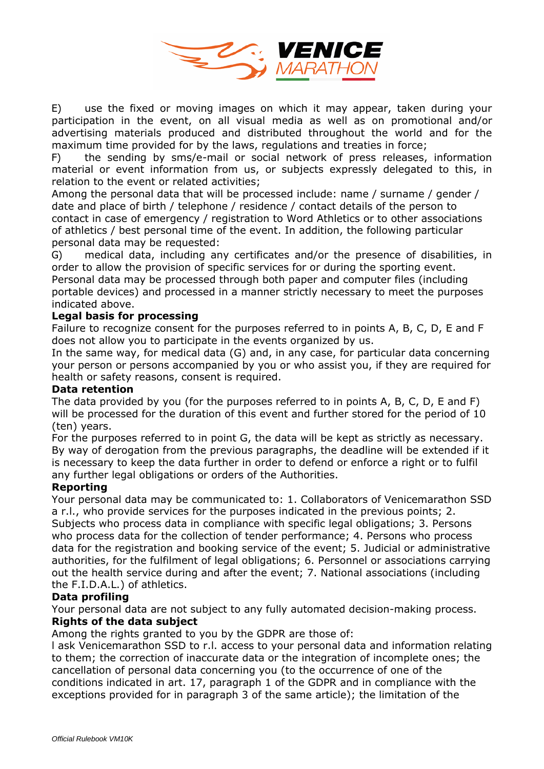

E) use the fixed or moving images on which it may appear, taken during your participation in the event, on all visual media as well as on promotional and/or advertising materials produced and distributed throughout the world and for the maximum time provided for by the laws, regulations and treaties in force;

F) the sending by sms/e-mail or social network of press releases, information material or event information from us, or subjects expressly delegated to this, in relation to the event or related activities;

Among the personal data that will be processed include: name / surname / gender / date and place of birth / telephone / residence / contact details of the person to contact in case of emergency / registration to Word Athletics or to other associations of athletics / best personal time of the event. In addition, the following particular personal data may be requested:

G) medical data, including any certificates and/or the presence of disabilities, in order to allow the provision of specific services for or during the sporting event. Personal data may be processed through both paper and computer files (including portable devices) and processed in a manner strictly necessary to meet the purposes indicated above.

#### **Legal basis for processing**

Failure to recognize consent for the purposes referred to in points A, B, C, D, E and F does not allow you to participate in the events organized by us.

In the same way, for medical data (G) and, in any case, for particular data concerning your person or persons accompanied by you or who assist you, if they are required for health or safety reasons, consent is required.

#### **Data retention**

The data provided by you (for the purposes referred to in points A, B, C, D, E and F) will be processed for the duration of this event and further stored for the period of 10 (ten) years.

For the purposes referred to in point G, the data will be kept as strictly as necessary. By way of derogation from the previous paragraphs, the deadline will be extended if it is necessary to keep the data further in order to defend or enforce a right or to fulfil any further legal obligations or orders of the Authorities.

## **Reporting**

Your personal data may be communicated to: 1. Collaborators of Venicemarathon SSD a r.l., who provide services for the purposes indicated in the previous points; 2. Subjects who process data in compliance with specific legal obligations; 3. Persons who process data for the collection of tender performance; 4. Persons who process data for the registration and booking service of the event; 5. Judicial or administrative authorities, for the fulfilment of legal obligations; 6. Personnel or associations carrying out the health service during and after the event; 7. National associations (including the F.I.D.A.L.) of athletics.

## **Data profiling**

Your personal data are not subject to any fully automated decision-making process. **Rights of the data subject**

Among the rights granted to you by the GDPR are those of:

l ask Venicemarathon SSD to r.l. access to your personal data and information relating to them; the correction of inaccurate data or the integration of incomplete ones; the cancellation of personal data concerning you (to the occurrence of one of the conditions indicated in art. 17, paragraph 1 of the GDPR and in compliance with the exceptions provided for in paragraph 3 of the same article); the limitation of the